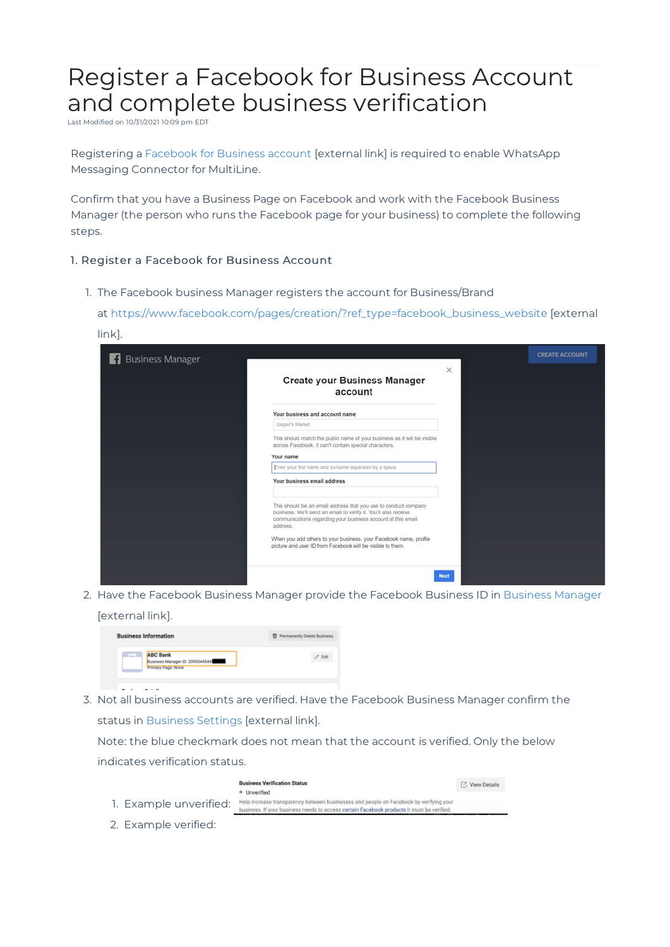## Register a Facebook for Business Account and complete business verification

Last Modified on 10/31/2021 10:09 pm EDT

link].

Registering a Facebook for Business account [external link] is required to enable WhatsApp Messaging Connector for MultiLine.

Confirm that you have a Business Page on Facebook and work with the Facebook Business Manager (the person who runs the Facebook page for your business) to complete the following steps.

## 1. Register a Facebook for Business Account

1. The Facebook business Manager registers the account for Business/Brand

at https://www.facebook.com/pages/creation/?ref\_type=facebook\_business\_website [external

| <b>Business Manager</b><br>H |                                                                                                                                                                                                                | $\times$    | <b>CREATE ACCOUNT</b> |
|------------------------------|----------------------------------------------------------------------------------------------------------------------------------------------------------------------------------------------------------------|-------------|-----------------------|
|                              | <b>Create your Business Manager</b><br>account                                                                                                                                                                 |             |                       |
|                              | Your business and account name                                                                                                                                                                                 |             |                       |
|                              | Jasper's Market                                                                                                                                                                                                |             |                       |
|                              | This should match the public name of your business as it will be visible<br>across Facebook. It can't contain special characters.                                                                              |             |                       |
|                              | Your name                                                                                                                                                                                                      |             |                       |
|                              | Enter your first name and surname separated by a space                                                                                                                                                         |             |                       |
|                              | Your business email address                                                                                                                                                                                    |             |                       |
|                              | This should be an email address that you use to conduct company<br>business. We'll send an email to verify it. You'll also receive<br>communications regarding your business account at this email<br>address. |             |                       |
|                              | When you add others to your business, your Facebook name, profile<br>picture and user ID from Facebook will be visible to them.                                                                                |             |                       |
|                              |                                                                                                                                                                                                                |             |                       |
|                              |                                                                                                                                                                                                                | <b>Next</b> |                       |

2. Have the Facebook Business Manager provide the Facebook Business ID in Business Manager [external link].

| <b>Business Information</b>                                                      | Permanently Delete Business |
|----------------------------------------------------------------------------------|-----------------------------|
| <b>ABC Bank</b><br>Business Manager ID: 20905445445<br><b>Primary Page: None</b> | Edit                        |

3. Not all business accounts are verified. Have the Facebook Business Manager confirm the status in Business Settings [external link].

Note: the blue checkmark does not mean that the account is verified. Only the below indicates verification status.



2. Example verified: